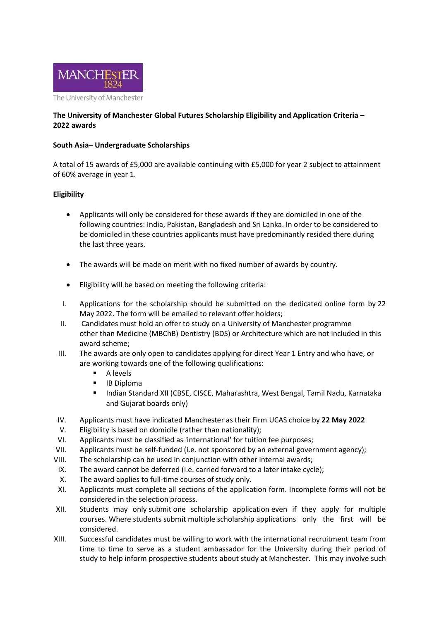

## **The University of Manchester Global Futures Scholarship Eligibility and Application Criteria – 2022 awards**

## **South Asia– Undergraduate Scholarships**

A total of 15 awards of £5,000 are available continuing with £5,000 for year 2 subject to attainment of 60% average in year 1.

## **Eligibility**

- Applicants will only be considered for these awards if they are domiciled in one of the following countries: India, Pakistan, Bangladesh and Sri Lanka. In order to be considered to be domiciled in these countries applicants must have predominantly resided there during the last three years.
- The awards will be made on merit with no fixed number of awards by country.
- Eligibility will be based on meeting the following criteria:
- I. Applications for the scholarship should be submitted on the dedicated online form by 22 May 2022. The form will be emailed to relevant offer holders;
- II. Candidates must hold an offer to study on a University of Manchester programme other than Medicine (MBChB) Dentistry (BDS) or Architecture which are not included in this award scheme;
- III. The awards are only open to candidates applying for direct Year 1 Entry and who have, or are working towards one of the following qualifications:
	- A levels
	- **IB Diploma**
	- **Indian Standard XII (CBSE, CISCE, Maharashtra, West Bengal, Tamil Nadu, Karnataka** and Gujarat boards only)
- IV. Applicants must have indicated Manchester as their Firm UCAS choice by **22 May 2022**
- V. Eligibility is based on domicile (rather than nationality);
- VI. Applicants must be classified as 'international' for tuition fee purposes;
- VII. Applicants must be self-funded (i.e. not sponsored by an external government agency);
- VIII. The scholarship can be used in conjunction with other internal awards;
- IX. The award cannot be deferred (i.e. carried forward to a later intake cycle);
- X. The award applies to full-time courses of study only.
- XI. Applicants must complete all sections of the application form. Incomplete forms will not be considered in the selection process.
- XII. Students may only submit one scholarship application even if they apply for multiple courses. Where students submit multiple scholarship applications only the first will be considered.
- XIII. Successful candidates must be willing to work with the international recruitment team from time to time to serve as a student ambassador for the University during their period of study to help inform prospective students about study at Manchester. This may involve such